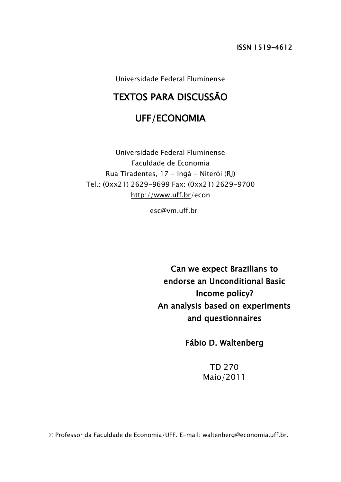Universidade Federal Fluminense

# TEXTOS PARA DISCUSSÃO

# UFF/ECONOMIA

Universidade Federal Fluminense Faculdade de Economia Rua Tiradentes, 17 - Ingá - Niterói (RJ) Tel.: (0xx21) 2629-9699 Fax: (0xx21) 2629-9700 <http://www.uff.br/>econ

esc@vm.uff.br

Can we expect Brazilians to endorse an Unconditional Basic Income policy? An analysis based on experiments and questionnaires

Fábio D. Waltenberg

TD 270 Maio/2011

Professor da Faculdade de Economia/UFF. E-mail: waltenberg@economia.uff.br.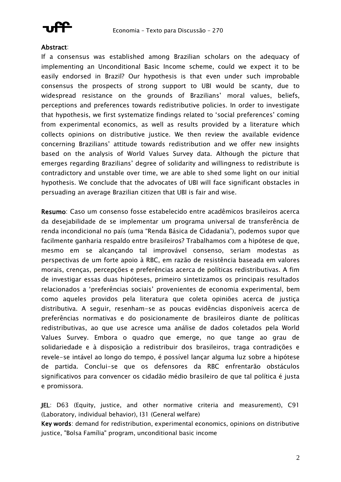

## Abstract:

If a consensus was established among Brazilian scholars on the adequacy of implementing an Unconditional Basic Income scheme, could we expect it to be easily endorsed in Brazil? Our hypothesis is that even under such improbable consensus the prospects of strong support to UBI would be scanty, due to widespread resistance on the grounds of Brazilians' moral values, beliefs, perceptions and preferences towards redistributive policies. In order to investigate that hypothesis, we first systematize findings related to "social preferences" coming from experimental economics, as well as results provided by a literature which collects opinions on distributive justice. We then review the available evidence concerning Brazilians" attitude towards redistribution and we offer new insights based on the analysis of World Values Survey data. Although the picture that emerges regarding Brazilians" degree of solidarity and willingness to redistribute is contradictory and unstable over time, we are able to shed some light on our initial hypothesis. We conclude that the advocates of UBI will face significant obstacles in persuading an average Brazilian citizen that UBI is fair and wise.

Resumo: Caso um consenso fosse estabelecido entre acadêmicos brasileiros acerca da desejabilidade de se implementar um programa universal de transferência de renda incondicional no país (uma "Renda Básica de Cidadania"), podemos supor que facilmente ganharia respaldo entre brasileiros? Trabalhamos com a hipótese de que, mesmo em se alcançando tal improvável consenso, seriam modestas as perspectivas de um forte apoio à RBC, em razão de resistência baseada em valores morais, crenças, percepções e preferências acerca de políticas redistributivas. A fim de investigar essas duas hipóteses, primeiro sintetizamos os principais resultados relacionados a "preferências sociais" provenientes de economia experimental, bem como aqueles providos pela literatura que coleta opiniões acerca de justiça distributiva. A seguir, resenham-se as poucas evidências disponíveis acerca de preferências normativas e do posicionamente de brasileiros diante de políticas redistributivas, ao que use acresce uma análise de dados coletados pela World Values Survey. Embora o quadro que emerge, no que tange ao grau de solidariedade e à disposição a redistribuir dos brasileiros, traga contradições e revele-se intável ao longo do tempo, é possível lançar alguma luz sobre a hipótese de partida. Conclui-se que os defensores da RBC enfrentarão obstáculos significativos para convencer os cidadão médio brasileiro de que tal política é justa e promissora.

JEL: D63 (Equity, justice, and other normative criteria and measurement), C91 (Laboratory, individual behavior), I31 (General welfare)

Key words: demand for redistribution, experimental economics, opinions on distributive justice, "Bolsa Família" program, unconditional basic income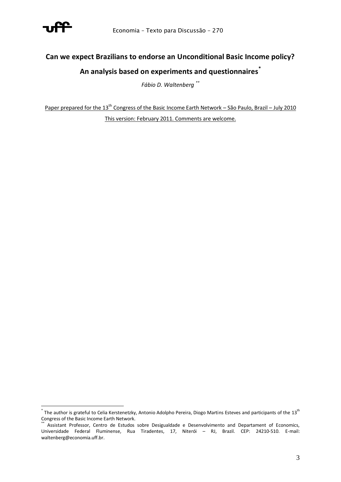

# **Can we expect Brazilians to endorse an Unconditional Basic Income policy? An analysis based on experiments and questionnaires\***

*Fábio D. Waltenberg \*\**

Paper prepared for the 13<sup>th</sup> Congress of the Basic Income Earth Network – São Paulo, Brazil – July 2010 This version: February 2011. Comments are welcome.

<sup>&</sup>lt;u>.</u>  $^*$  The author is grateful to Celia Kerstenetzky, Antonio Adolpho Pereira, Diogo Martins Esteves and participants of the 13<sup>th</sup> Congress of the Basic Income Earth Network.

Assistant Professor, Centro de Estudos sobre Desigualdade e Desenvolvimento and Departament of Economics, Universidade Federal Fluminense, Rua Tiradentes, 17, Niterói – RJ, Brazil. CEP: 24210-510. E-mail: waltenberg@economia.uff.br.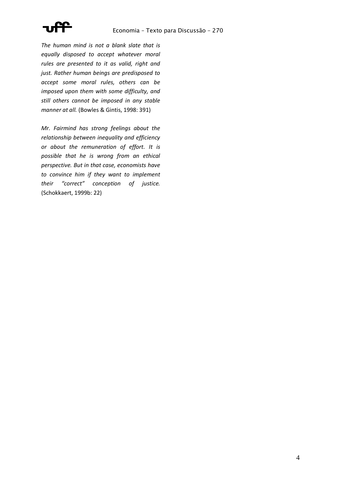

*The human mind is not a blank slate that is equally disposed to accept whatever moral rules are presented to it as valid, right and just. Rather human beings are predisposed to accept some moral rules, others can be imposed upon them with some difficulty, and still others cannot be imposed in any stable manner at all.* (Bowles & Gintis, 1998: 391)

*Mr. Fairmind has strong feelings about the relationship between inequality and efficiency or about the remuneration of effort. It is possible that he is wrong from an ethical perspective. But in that case, economists have to convince him if they want to implement their "correct" conception of justice.*  (Schokkaert, 1999b: 22)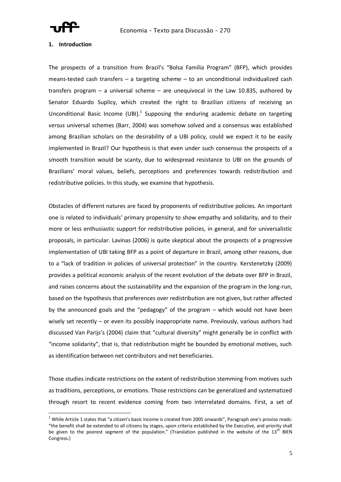

### **1. Introduction**

The prospects of a transition from Brazil's "Bolsa Família Program" (BFP), which provides means-tested cash transfers – a targeting scheme – to an unconditional individualized cash transfers program  $-$  a universal scheme  $-$  are unequivocal in the Law 10.835, authored by Senator Eduardo Suplicy, which created the right to Brazilian citizens of receiving an Unconditional Basic Income (UBI).<sup>1</sup> Supposing the enduring academic debate on targeting *versus* universal schemes (Barr, 2004) was somehow solved and a consensus was established among Brazilian scholars on the desirability of a UBI policy, could we expect it to be easily implemented in Brazil? Our hypothesis is that even under such consensus the prospects of a smooth transition would be scanty, due to widespread resistance to UBI on the grounds of Brazilians' moral values, beliefs, perceptions and preferences towards redistribution and redistributive policies. In this study, we examine that hypothesis.

Obstacles of different natures are faced by proponents of redistributive policies. An important one is related to individuals' primary propensity to show empathy and solidarity, and to their more or less enthusiastic support for redistributive policies, in general, and for universalistic proposals, in particular. Lavinas (2006) is quite skeptical about the prospects of a progressive implementation of UBI taking BFP as a point of departure in Brazil, among other reasons, due to a "lack of tradition in policies of universal protection" in the country. Kerstenetzky (2009) provides a political economic analysis of the recent evolution of the debate over BFP in Brazil, and raises concerns about the sustainability and the expansion of the program in the long-run, based on the hypothesis that preferences over redistribution are not given, but rather affected by the announced goals and the "pedagogy" of the program – which would not have been wisely set recently – or even its possibly inappropriate name. Previously, various authors had discussed Van Parijs's (2004) claim that "cultural diversity" might generally be in conflict with "income solidarity", that is, that redistribution might be bounded by emotional motives, such as identification between net contributors and net beneficiaries.

Those studies indicate restrictions on the extent of redistribution stemming from motives such as traditions, perceptions, or emotions. Those restrictions can be generalized and systematized through resort to recent evidence coming from two interrelated domains. First, a set of

 $1$  While Article 1 states that "a citizen's basic income is created from 2005 onwards". Paragraph one's proviso reads: "the benefit shall be extended to all citizens by stages, upon criteria established by the Executive, and priority shall be given to the poorest segment of the population." (Translation published in the website of the 13<sup>th</sup> BIEN Congress.)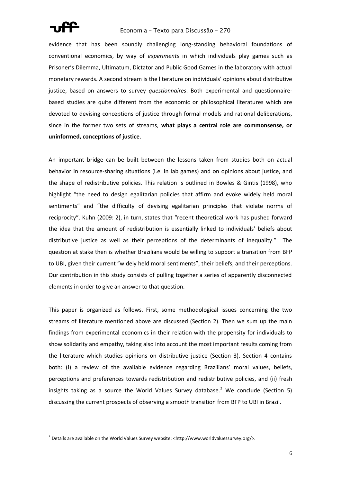

evidence that has been soundly challenging long-standing behavioral foundations of conventional economics, by way of *experiments* in which individuals play games such as Prisoner's Dilemma, Ultimatum, Dictator and Public Good Games in the laboratory with actual monetary rewards. A second stream is the literature on individuals' opinions about distributive justice, based on answers to survey *questionnaires*. Both experimental and questionnairebased studies are quite different from the economic or philosophical literatures which are devoted to devising conceptions of justice through formal models and rational deliberations, since in the former two sets of streams, **what plays a central role are commonsense, or uninformed, conceptions of justice**.

An important bridge can be built between the lessons taken from studies both on actual behavior in resource-sharing situations (i.e. in lab games) and on opinions about justice, and the shape of redistributive policies. This relation is outlined in Bowles & Gintis (1998), who highlight "the need to design egalitarian policies that affirm and evoke widely held moral sentiments" and "the difficulty of devising egalitarian principles that violate norms of reciprocity". Kuhn (2009: 2), in turn, states that "recent theoretical work has pushed forward the idea that the amount of redistribution is essentially linked to individuals' beliefs about distributive justice as well as their perceptions of the determinants of inequality." The question at stake then is whether Brazilians would be willing to support a transition from BFP to UBI, given their current "widely held moral sentiments", their beliefs, and their perceptions. Our contribution in this study consists of pulling together a series of apparently disconnected elements in order to give an answer to that question.

This paper is organized as follows. First, some methodological issues concerning the two streams of literature mentioned above are discussed (Section 2). Then we sum up the main findings from experimental economics in their relation with the propensity for individuals to show solidarity and empathy, taking also into account the most important results coming from the literature which studies opinions on distributive justice (Section 3). Section 4 contains both: (i) a review of the available evidence regarding Brazilians' moral values, beliefs, perceptions and preferences towards redistribution and redistributive policies, and (ii) fresh insights taking as a source the World Values Survey database.<sup>2</sup> We conclude (Section 5) discussing the current prospects of observing a smooth transition from BFP to UBI in Brazil.

 2 Details are available on the World Values Survey website: <http://www.worldvaluessurvey.org/>.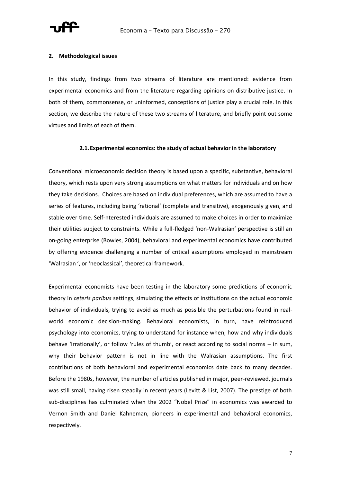

### **2. Methodological issues**

In this study, findings from two streams of literature are mentioned: evidence from experimental economics and from the literature regarding opinions on distributive justice. In both of them, commonsense, or uninformed, conceptions of justice play a crucial role. In this section, we describe the nature of these two streams of literature, and briefly point out some virtues and limits of each of them.

### **2.1.Experimental economics: the study of actual behavior in the laboratory**

Conventional microeconomic decision theory is based upon a specific, substantive, behavioral theory, which rests upon very strong assumptions on what matters for individuals and on how they take decisions. Choices are based on individual preferences, which are assumed to have a series of features, including being 'rational' (complete and transitive), exogenously given, and stable over time. Self-nterested individuals are assumed to make choices in order to maximize their utilities subject to constraints. While a full-fledged 'non-Walrasian' perspective is still an on-going enterprise (Bowles, 2004), behavioral and experimental economics have contributed by offering evidence challenging a number of critical assumptions employed in mainstream 'Walrasian ', or 'neoclassical', theoretical framework.

Experimental economists have been testing in the laboratory some predictions of economic theory in *ceteris paribus* settings, simulating the effects of institutions on the actual economic behavior of individuals, trying to avoid as much as possible the perturbations found in realworld economic decision-making. Behavioral economists, in turn, have reintroduced psychology into economics, trying to understand for instance when, how and why individuals behave 'irrationally', or follow 'rules of thumb', or react according to social norms - in sum, why their behavior pattern is not in line with the Walrasian assumptions. The first contributions of both behavioral and experimental economics date back to many decades. Before the 1980s, however, the number of articles published in major, peer-reviewed, journals was still small, having risen steadily in recent years (Levitt & List, 2007). The prestige of both sub-disciplines has culminated when the 2002 "Nobel Prize" in economics was awarded to Vernon Smith and Daniel Kahneman, pioneers in experimental and behavioral economics, respectively.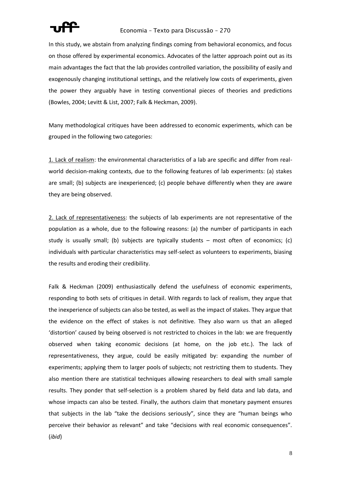

In this study, we abstain from analyzing findings coming from behavioral economics, and focus on those offered by experimental economics. Advocates of the latter approach point out as its main advantages the fact that the lab provides controlled variation, the possibility of easily and exogenously changing institutional settings, and the relatively low costs of experiments, given the power they arguably have in testing conventional pieces of theories and predictions (Bowles, 2004; Levitt & List, 2007; Falk & Heckman, 2009).

Many methodological critiques have been addressed to economic experiments, which can be grouped in the following two categories:

1. Lack of realism: the environmental characteristics of a lab are specific and differ from realworld decision-making contexts, due to the following features of lab experiments: (a) stakes are small; (b) subjects are inexperienced; (c) people behave differently when they are aware they are being observed.

2. Lack of representativeness: the subjects of lab experiments are not representative of the population as a whole, due to the following reasons: (a) the number of participants in each study is usually small; (b) subjects are typically students – most often of economics; (c) individuals with particular characteristics may self-select as volunteers to experiments, biasing the results and eroding their credibility.

Falk & Heckman (2009) enthusiastically defend the usefulness of economic experiments, responding to both sets of critiques in detail. With regards to lack of realism, they argue that the inexperience of subjects can also be tested, as well as the impact of stakes. They argue that the evidence on the effect of stakes is not definitive. They also warn us that an alleged 'distortion' caused by being observed is not restricted to choices in the lab: we are frequently observed when taking economic decisions (at home, on the job etc.). The lack of representativeness, they argue, could be easily mitigated by: expanding the number of experiments; applying them to larger pools of subjects; not restricting them to students. They also mention there are statistical techniques allowing researchers to deal with small sample results. They ponder that self-selection is a problem shared by field data and lab data, and whose impacts can also be tested. Finally, the authors claim that monetary payment ensures that subjects in the lab "take the decisions seriously", since they are "human beings who perceive their behavior as relevant" and take "decisions with real economic consequences". (*ibid*)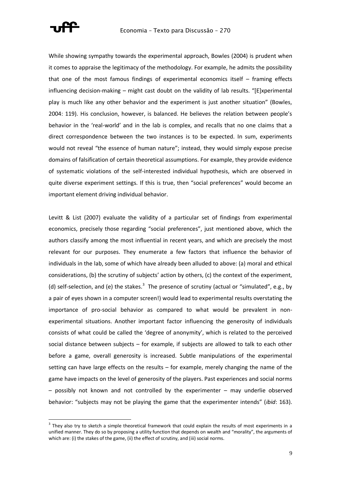

While showing sympathy towards the experimental approach, Bowles (2004) is prudent when it comes to appraise the legitimacy of the methodology. For example, he admits the possibility that one of the most famous findings of experimental economics itself – framing effects influencing decision-making – might cast doubt on the validity of lab results. "[E]xperimental play is much like any other behavior and the experiment is just another situation" (Bowles, 2004: 119). His conclusion, however, is balanced. He believes the relation between people's behavior in the 'real-world' and in the lab is complex, and recalls that no one claims that a direct correspondence between the two instances is to be expected. In sum, experiments would not reveal "the essence of human nature"; instead, they would simply expose precise domains of falsification of certain theoretical assumptions. For example, they provide evidence of systematic violations of the self-interested individual hypothesis, which are observed in quite diverse experiment settings. If this is true, then "social preferences" would become an important element driving individual behavior.

Levitt & List (2007) evaluate the validity of a particular set of findings from experimental economics, precisely those regarding "social preferences", just mentioned above, which the authors classify among the most influential in recent years, and which are precisely the most relevant for our purposes. They enumerate a few factors that influence the behavior of individuals in the lab, some of which have already been alluded to above: (a) moral and ethical considerations, (b) the scrutiny of subjects' action by others, (c) the context of the experiment, (d) self-selection, and (e) the stakes. $3$  The presence of scrutiny (actual or "simulated", e.g., by a pair of eyes shown in a computer screen!) would lead to experimental results overstating the importance of pro-social behavior as compared to what would be prevalent in nonexperimental situations. Another important factor influencing the generosity of individuals consists of what could be called the 'degree of anonymity', which is related to the perceived social distance between subjects – for example, if subjects are allowed to talk to each other before a game, overall generosity is increased. Subtle manipulations of the experimental setting can have large effects on the results – for example, merely changing the name of the game have impacts on the level of generosity of the players. Past experiences and social norms – possibly not known and not controlled by the experimenter – may underlie observed behavior: "subjects may not be playing the game that the experimenter intends" (*ibid*: 163).

 $3$  They also try to sketch a simple theoretical framework that could explain the results of most experiments in a unified manner. They do so by proposing a utility function that depends on wealth and "morality", the arguments of which are: (i) the stakes of the game, (ii) the effect of scrutiny, and (iii) social norms.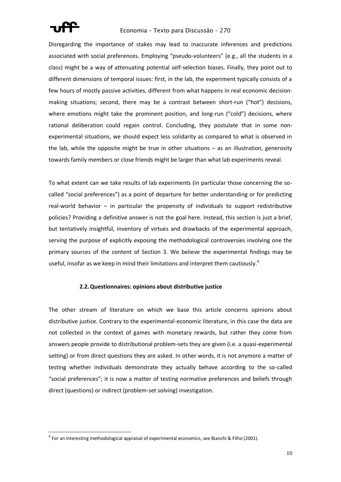

### Economia – Texto para Discussão – 270

Disregarding the importance of stakes may lead to inaccurate inferences and predictions associated with social preferences. Employing "pseudo-volunteers" (e.g., all the students in a class) might be a way of attenuating potential self-selection biases. Finally, they point out to different dimensions of temporal issues: first, in the lab, the experiment typically consists of a few hours of mostly passive activities, different from what happens in real economic decisionmaking situations; second, there may be a contrast between short-run ("hot") decisions, where emotions might take the prominent position, and long-run ("cold") decisions, where rational deliberation could regain control. Concluding, they postulate that in some nonexperimental situations, we should expect less solidarity as compared to what is observed in the lab, while the opposite might be true in other situations – as an illustration, generosity towards family members or close friends might be larger than what lab experiments reveal.

To what extent can we take results of lab experiments (in particular those concerning the socalled "social preferences") as a point of departure for better understanding or for predicting real-world behavior – in particular the propensity of individuals to support redistributive policies? Providing a definitive answer is not the goal here. Instead, this section is just a brief, but tentatively insightful, inventory of virtues and drawbacks of the experimental approach, serving the purpose of explicitly exposing the methodological controversies involving one the primary sources of the content of Section 3. We believe the experimental findings may be useful, insofar as we keep in mind their limitations and interpret them cautiously.<sup>4</sup>

### **2.2.Questionnaires: opinions about distributive justice**

The other stream of literature on which we base this article concerns opinions about distributive justice. Contrary to the experimental-economic literature, in this case the data are not collected in the context of games with monetary rewards, but rather they come from answers people provide to distributional problem-sets they are given (i.e. a quasi-experimental setting) or from direct questions they are asked. In other words, it is not anymore a matter of testing whether individuals demonstrate they actually behave according to the so-called "social preferences"; it is now a matter of testing normative preferences and beliefs through direct (questions) or indirect (problem-set solving) investigation.

 $^{4}$  For an interesting methodological appraisal of experimental economics, see Bianchi & Filho (2001).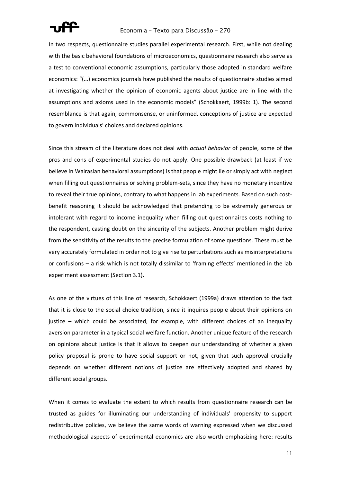

In two respects, questionnaire studies parallel experimental research. First, while not dealing with the basic behavioral foundations of microeconomics, questionnaire research also serve as a test to conventional economic assumptions, particularly those adopted in standard welfare economics: "(…) economics journals have published the results of questionnaire studies aimed at investigating whether the opinion of economic agents about justice are in line with the assumptions and axioms used in the economic models" (Schokkaert, 1999b: 1). The second resemblance is that again, commonsense, or uninformed, conceptions of justice are expected to govern individuals' choices and declared opinions.

Since this stream of the literature does not deal with *actual behavior* of people, some of the pros and cons of experimental studies do not apply. One possible drawback (at least if we believe in Walrasian behavioral assumptions) is that people might lie or simply act with neglect when filling out questionnaires or solving problem-sets, since they have no monetary incentive to reveal their true opinions, contrary to what happens in lab experiments. Based on such costbenefit reasoning it should be acknowledged that pretending to be extremely generous or intolerant with regard to income inequality when filling out questionnaires costs nothing to the respondent, casting doubt on the sincerity of the subjects. Another problem might derive from the sensitivity of the results to the precise formulation of some questions. These must be very accurately formulated in order not to give rise to perturbations such as misinterpretations or confusions – a risk which is not totally dissimilar to 'framing effects' mentioned in the lab experiment assessment (Section 3.1).

As one of the virtues of this line of research, Schokkaert (1999a) draws attention to the fact that it is close to the social choice tradition, since it inquires people about their opinions on justice – which could be associated, for example, with different choices of an inequality aversion parameter in a typical social welfare function. Another unique feature of the research on opinions about justice is that it allows to deepen our understanding of whether a given policy proposal is prone to have social support or not, given that such approval crucially depends on whether different notions of justice are effectively adopted and shared by different social groups.

When it comes to evaluate the extent to which results from questionnaire research can be trusted as guides for illuminating our understanding of individuals' propensity to support redistributive policies, we believe the same words of warning expressed when we discussed methodological aspects of experimental economics are also worth emphasizing here: results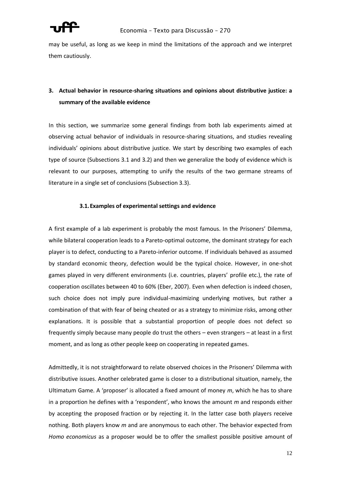

may be useful, as long as we keep in mind the limitations of the approach and we interpret them cautiously.

# **3. Actual behavior in resource-sharing situations and opinions about distributive justice: a summary of the available evidence**

In this section, we summarize some general findings from both lab experiments aimed at observing actual behavior of individuals in resource-sharing situations, and studies revealing individuals' opinions about distributive justice. We start by describing two examples of each type of source (Subsections 3.1 and 3.2) and then we generalize the body of evidence which is relevant to our purposes, attempting to unify the results of the two germane streams of literature in a single set of conclusions (Subsection 3.3).

### **3.1.Examples of experimental settings and evidence**

A first example of a lab experiment is probably the most famous. In the Prisoners' Dilemma, while bilateral cooperation leads to a Pareto-optimal outcome, the dominant strategy for each player is to defect, conducting to a Pareto-inferior outcome. If individuals behaved as assumed by standard economic theory, defection would be the typical choice. However, in one-shot games played in very different environments (i.e. countries, players' profile etc.), the rate of cooperation oscillates between 40 to 60% (Eber, 2007). Even when defection is indeed chosen, such choice does not imply pure individual-maximizing underlying motives, but rather a combination of that with fear of being cheated or as a strategy to minimize risks, among other explanations. It is possible that a substantial proportion of people does not defect so frequently simply because many people do trust the others – even strangers – at least in a first moment, and as long as other people keep on cooperating in repeated games.

Admittedly, it is not straightforward to relate observed choices in the Prisoners' Dilemma with distributive issues. Another celebrated game is closer to a distributional situation, namely, the Ultimatum Game. A 'proposer' is allocated a fixed amount of money *m*, which he has to share in a proportion he defines with a 'respondent', who knows the amount *m* and responds either by accepting the proposed fraction or by rejecting it. In the latter case both players receive nothing. Both players know *m* and are anonymous to each other. The behavior expected from *Homo economicus* as a proposer would be to offer the smallest possible positive amount of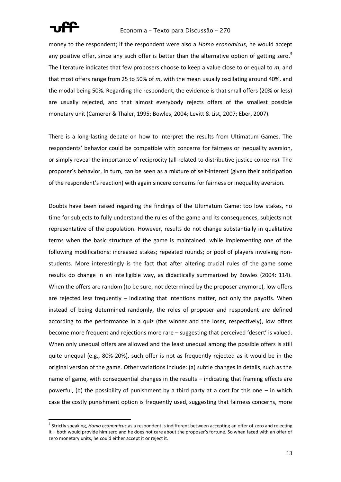

### Economia – Texto para Discussão – 270

money to the respondent; if the respondent were also a *Homo economicus*, he would accept any positive offer, since any such offer is better than the alternative option of getting zero.<sup>5</sup> The literature indicates that few proposers choose to keep a value close to or equal to *m*, and that most offers range from 25 to 50% of *m*, with the mean usually oscillating around 40%, and the modal being 50%. Regarding the respondent, the evidence is that small offers (20% or less) are usually rejected, and that almost everybody rejects offers of the smallest possible monetary unit (Camerer & Thaler, 1995; Bowles, 2004; Levitt & List, 2007; Eber, 2007).

There is a long-lasting debate on how to interpret the results from Ultimatum Games. The respondents' behavior could be compatible with concerns for fairness or inequality aversion, or simply reveal the importance of reciprocity (all related to distributive justice concerns). The proposer's behavior, in turn, can be seen as a mixture of self-interest (given their anticipation of the respondent's reaction) with again sincere concerns for fairness or inequality aversion.

Doubts have been raised regarding the findings of the Ultimatum Game: too low stakes, no time for subjects to fully understand the rules of the game and its consequences, subjects not representative of the population. However, results do not change substantially in qualitative terms when the basic structure of the game is maintained, while implementing one of the following modifications: increased stakes; repeated rounds; or pool of players involving nonstudents. More interestingly is the fact that after altering crucial rules of the game some results do change in an intelligible way, as didactically summarized by Bowles (2004: 114). When the offers are random (to be sure, not determined by the proposer anymore), low offers are rejected less frequently – indicating that intentions matter, not only the payoffs. When instead of being determined randomly, the roles of proposer and respondent are defined according to the performance in a quiz (the winner and the loser, respectively), low offers become more frequent and rejections more rare – suggesting that perceived 'desert' is valued. When only unequal offers are allowed and the least unequal among the possible offers is still quite unequal (e.g., 80%-20%), such offer is not as frequently rejected as it would be in the original version of the game. Other variations include: (a) subtle changes in details, such as the name of game, with consequential changes in the results – indicating that framing effects are powerful, (b) the possibility of punishment by a third party at a cost for this one – in which case the costly punishment option is frequently used, suggesting that fairness concerns, more

<sup>5</sup> Strictly speaking, *Homo economicus* as a respondent is indifferent between accepting an offer of zero and rejecting it – both would provide him zero and he does not care about the proposer's fortune. So when faced with an offer of zero monetary units, he could either accept it or reject it.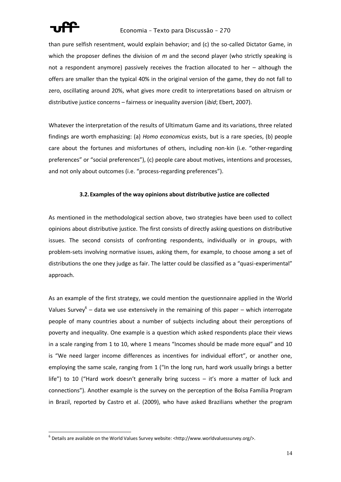

## Economia – Texto para Discussão – 270

than pure selfish resentment, would explain behavior; and (c) the so-called Dictator Game, in which the proposer defines the division of *m* and the second player (who strictly speaking is not a respondent anymore) passively receives the fraction allocated to her – although the offers are smaller than the typical 40% in the original version of the game, they do not fall to zero, oscillating around 20%, what gives more credit to interpretations based on altruism or distributive justice concerns – fairness or inequality aversion (*ibid*; Ebert, 2007).

Whatever the interpretation of the results of Ultimatum Game and its variations, three related findings are worth emphasizing: (a) *Homo economicus* exists, but is a rare species, (b) people care about the fortunes and misfortunes of others, including non-kin (i.e. "other-regarding preferences" or "social preferences"), (c) people care about motives, intentions and processes, and not only about outcomes (i.e. "process-regarding preferences").

### **3.2.Examples of the way opinions about distributive justice are collected**

As mentioned in the methodological section above, two strategies have been used to collect opinions about distributive justice. The first consists of directly asking questions on distributive issues. The second consists of confronting respondents, individually or in groups, with problem-sets involving normative issues, asking them, for example, to choose among a set of distributions the one they judge as fair. The latter could be classified as a "quasi-experimental" approach.

As an example of the first strategy, we could mention the questionnaire applied in the World Values Survey<sup>6</sup> – data we use extensively in the remaining of this paper – which interrogate people of many countries about a number of subjects including about their perceptions of poverty and inequality. One example is a question which asked respondents place their views in a scale ranging from 1 to 10, where 1 means "Incomes should be made more equal" and 10 is "We need larger income differences as incentives for individual effort", or another one, employing the same scale, ranging from 1 ("In the long run, hard work usually brings a better life") to 10 ("Hard work doesn't generally bring success – it's more a matter of luck and connections"). Another example is the survey on the perception of the Bolsa Família Program in Brazil, reported by Castro et al. (2009), who have asked Brazilians whether the program

 $^6$  Details are available on the World Values Survey website: <http://www.worldvaluessurvey.org/>.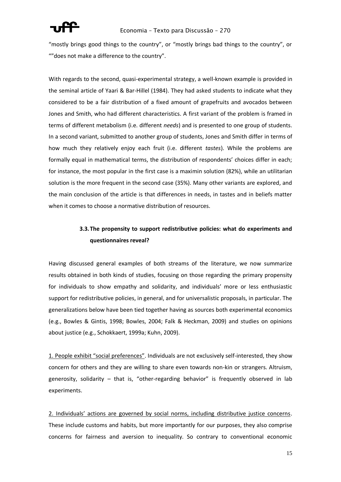

"mostly brings good things to the country", or "mostly brings bad things to the country", or ""does not make a difference to the country".

With regards to the second, quasi-experimental strategy, a well-known example is provided in the seminal article of Yaari & Bar-Hillel (1984). They had asked students to indicate what they considered to be a fair distribution of a fixed amount of grapefruits and avocados between Jones and Smith, who had different characteristics. A first variant of the problem is framed in terms of different metabolism (i.e. different *needs*) and is presented to one group of students. In a second variant, submitted to another group of students, Jones and Smith differ in terms of how much they relatively enjoy each fruit (i.e. different *tastes*). While the problems are formally equal in mathematical terms, the distribution of respondents' choices differ in each; for instance, the most popular in the first case is a maximin solution (82%), while an utilitarian solution is the more frequent in the second case (35%). Many other variants are explored, and the main conclusion of the article is that differences in needs, in tastes and in beliefs matter when it comes to choose a normative distribution of resources.

# **3.3.The propensity to support redistributive policies: what do experiments and questionnaires reveal?**

Having discussed general examples of both streams of the literature, we now summarize results obtained in both kinds of studies, focusing on those regarding the primary propensity for individuals to show empathy and solidarity, and individuals' more or less enthusiastic support for redistributive policies, in general, and for universalistic proposals, in particular. The generalizations below have been tied together having as sources both experimental economics (e.g., Bowles & Gintis, 1998; Bowles, 2004; Falk & Heckman, 2009) and studies on opinions about justice (e.g., Schokkaert, 1999a; Kuhn, 2009).

1. People exhibit "social preferences". Individuals are not exclusively self-interested, they show concern for others and they are willing to share even towards non-kin or strangers. Altruism, generosity, solidarity – that is, "other-regarding behavior" is frequently observed in lab experiments.

2. Individuals' actions are governed by social norms, including distributive justice concerns. These include customs and habits, but more importantly for our purposes, they also comprise concerns for fairness and aversion to inequality. So contrary to conventional economic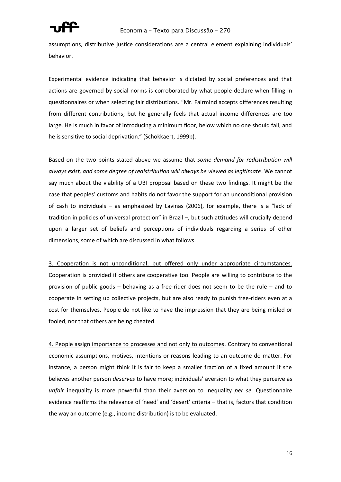

assumptions, distributive justice considerations are a central element explaining individuals' behavior.

Experimental evidence indicating that behavior is dictated by social preferences and that actions are governed by social norms is corroborated by what people declare when filling in questionnaires or when selecting fair distributions. "Mr. Fairmind accepts differences resulting from different contributions; but he generally feels that actual income differences are too large. He is much in favor of introducing a minimum floor, below which no one should fall, and he is sensitive to social deprivation." (Schokkaert, 1999b).

Based on the two points stated above we assume that *some demand for redistribution will always exist, and some degree of redistribution will always be viewed as legitimate*. We cannot say much about the viability of a UBI proposal based on these two findings. It might be the case that peoples' customs and habits do not favor the support for an unconditional provision of cash to individuals – as emphasized by Lavinas (2006), for example, there is a "lack of tradition in policies of universal protection" in Brazil –, but such attitudes will crucially depend upon a larger set of beliefs and perceptions of individuals regarding a series of other dimensions, some of which are discussed in what follows.

3. Cooperation is not unconditional, but offered only under appropriate circumstances. Cooperation is provided if others are cooperative too. People are willing to contribute to the provision of public goods – behaving as a free-rider does not seem to be the rule – and to cooperate in setting up collective projects, but are also ready to punish free-riders even at a cost for themselves. People do not like to have the impression that they are being misled or fooled, nor that others are being cheated.

4. People assign importance to processes and not only to outcomes. Contrary to conventional economic assumptions, motives, intentions or reasons leading to an outcome do matter. For instance, a person might think it is fair to keep a smaller fraction of a fixed amount if she believes another person *deserves* to have more; individuals' aversion to what they perceive as *unfair* inequality is more powerful than their aversion to inequality *per se*. Questionnaire evidence reaffirms the relevance of 'need' and 'desert' criteria – that is, factors that condition the way an outcome (e.g., income distribution) is to be evaluated.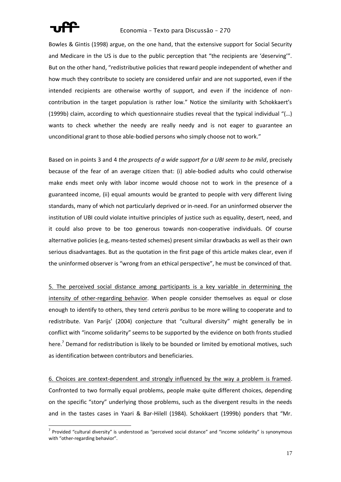

### Economia – Texto para Discussão – 270

Bowles & Gintis (1998) argue, on the one hand, that the extensive support for Social Security and Medicare in the US is due to the public perception that "the recipients are 'deserving'". But on the other hand, "redistributive policies that reward people independent of whether and how much they contribute to society are considered unfair and are not supported, even if the intended recipients are otherwise worthy of support, and even if the incidence of noncontribution in the target population is rather low." Notice the similarity with Schokkaert's (1999b) claim, according to which questionnaire studies reveal that the typical individual "(…) wants to check whether the needy are really needy and is not eager to guarantee an unconditional grant to those able-bodied persons who simply choose not to work."

Based on in points 3 and 4 *the prospects of a wide support for a UBI seem to be mild*, precisely because of the fear of an average citizen that: (i) able-bodied adults who could otherwise make ends meet only with labor income would choose not to work in the presence of a guaranteed income, (ii) equal amounts would be granted to people with very different living standards, many of which not particularly deprived or in-need. For an uninformed observer the institution of UBI could violate intuitive principles of justice such as equality, desert, need, and it could also prove to be too generous towards non-cooperative individuals. Of course alternative policies (e.g, means-tested schemes) present similar drawbacks as well as their own serious disadvantages. But as the quotation in the first page of this article makes clear, even if the uninformed observer is "wrong from an ethical perspective", he must be convinced of that.

5. The perceived social distance among participants is a key variable in determining the intensity of other-regarding behavior. When people consider themselves as equal or close enough to identify to others, they tend *ceteris paribus* to be more willing to cooperate and to redistribute. Van Parijs' (2004) conjecture that "cultural diversity" might generally be in conflict with "income solidarity" seems to be supported by the evidence on both fronts studied here.<sup>7</sup> Demand for redistribution is likely to be bounded or limited by emotional motives, such as identification between contributors and beneficiaries.

6. Choices are context-dependent and strongly influenced by the way a problem is framed. Confronted to two formally equal problems, people make quite different choices, depending on the specific "story" underlying those problems, such as the divergent results in the needs and in the tastes cases in Yaari & Bar-Hilell (1984). Schokkaert (1999b) ponders that "Mr.

 $^7$  Provided "cultural diversity" is understood as "perceived social distance" and "income solidarity" is synonymous with "other-regarding behavior".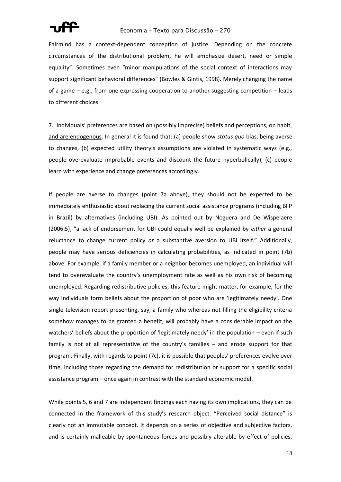

Fairmind has a context-dependent conception of justice. Depending on the concrete circumstances of the distributional problem, he will emphasize desert, need or simple equality". Sometimes even "minor manipulations of the social context of interactions may support significant behavioral differences" (Bowles & Gintis, 1998). Merely changing the name of a game – e.g., from one expressing cooperation to another suggesting competition – leads to different choices.

7. Individuals' preferences are based on (possibly imprecise) beliefs and perceptions, on habit, and are endogenous. In general it is found that: (a) people show *status quo* bias, being averse to changes, (b) expected utility theory's assumptions are violated in systematic ways (e.g., people overevaluate improbable events and discount the future hyperbolically), (c) people learn with experience and change preferences accordingly.

If people are averse to changes (point 7a above), they should not be expected to be immediately enthusiastic about replacing the current social assistance programs (including BFP in Brazil) by alternatives (including UBI). As pointed out by Noguera and De Wispelaere (2006:5), "a lack of endorsement for UBI could equally well be explained by *either* a general reluctance to change current policy *or* a substantive aversion to UBI itself." Additionally, people may have serious deficiencies in calculating probabilities, as indicated in point (7b) above. For example, if a family member or a neighbor becomes unemployed, an individual will tend to overevaluate the country's unemployment rate as well as his own risk of becoming unemployed. Regarding redistributive policies, this feature might matter, for example, for the way individuals form beliefs about the proportion of poor who are 'legitimately needy'. One single television report presenting, say, a family who whereas not filling the eligibility criteria somehow manages to be granted a benefit, will probably have a considerable impact on the watchers' beliefs about the proportion of 'legitimately needy' in the population – even if such family is not at all representative of the country's families – and erode support for that program. Finally, with regards to point (7c), it is possible that peoples' preferences evolve over time, including those regarding the demand for redistribution or support for a specific social assistance program – once again in contrast with the standard economic model.

While points 5, 6 and 7 are independent findings each having its own implications, they can be connected in the framework of this study's research object. "Perceived social distance" is clearly not an immutable concept. It depends on a series of objective and subjective factors, and is certainly malleable by spontaneous forces and possibly alterable by effect of policies.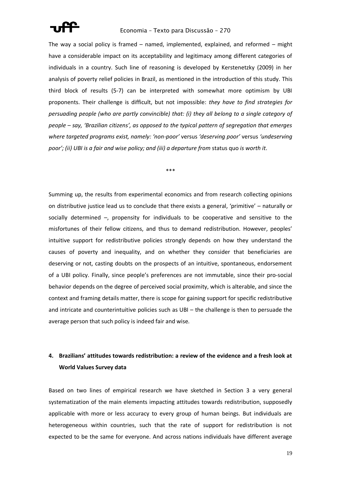

The way a social policy is framed – named, implemented, explained, and reformed – might have a considerable impact on its acceptability and legitimacy among different categories of individuals in a country. Such line of reasoning is developed by Kerstenetzky (2009) in her analysis of poverty relief policies in Brazil, as mentioned in the introduction of this study. This third block of results (5-7) can be interpreted with somewhat more optimism by UBI proponents. Their challenge is difficult, but not impossible: *they have to find strategies for persuading people (who are partly convincible) that: (i) they all belong to a single category of people – say, 'Brazilian citizens', as opposed to the typical pattern of segregation that emerges where targeted programs exist, namely: 'non-poor'* versus *'deserving poor'* versus *'undeserving poor'; (ii) UBI is a fair and wise policy; and (iii) a departure from* status quo *is worth it*.

\*\*\*

Summing up, the results from experimental economics and from research collecting opinions on distributive justice lead us to conclude that there exists a general, 'primitive' – naturally or socially determined –, propensity for individuals to be cooperative and sensitive to the misfortunes of their fellow citizens, and thus to demand redistribution. However, peoples' intuitive support for redistributive policies strongly depends on how they understand the causes of poverty and inequality, and on whether they consider that beneficiaries are deserving or not, casting doubts on the prospects of an intuitive, spontaneous, endorsement of a UBI policy. Finally, since people's preferences are not immutable, since their pro-social behavior depends on the degree of perceived social proximity, which is alterable, and since the context and framing details matter, there is scope for gaining support for specific redistributive and intricate and counterintuitive policies such as UBI – the challenge is then to persuade the average person that such policy is indeed fair and wise.

# **4. Brazilians' attitudes towards redistribution: a review of the evidence and a fresh look at World Values Survey data**

Based on two lines of empirical research we have sketched in Section 3 a very general systematization of the main elements impacting attitudes towards redistribution, supposedly applicable with more or less accuracy to every group of human beings. But individuals are heterogeneous within countries, such that the rate of support for redistribution is not expected to be the same for everyone. And across nations individuals have different average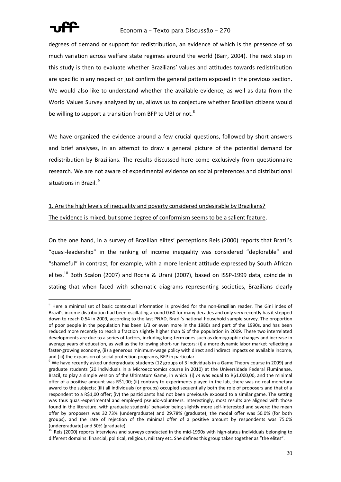

degrees of demand or support for redistribution, an evidence of which is the presence of so much variation across welfare state regimes around the world (Barr, 2004). The next step in this study is then to evaluate whether Brazilians' values and attitudes towards redistribution are specific in any respect or just confirm the general pattern exposed in the previous section. We would also like to understand whether the available evidence, as well as data from the World Values Survey analyzed by us, allows us to conjecture whether Brazilian citizens would be willing to support a transition from BFP to UBI or not. $8$ 

We have organized the evidence around a few crucial questions, followed by short answers and brief analyses, in an attempt to draw a general picture of the potential demand for redistribution by Brazilians. The results discussed here come exclusively from questionnaire research. We are not aware of experimental evidence on social preferences and distributional situations in Brazil.<sup>9</sup>

# 1. Are the high levels of inequality and poverty considered undesirable by Brazilians? The evidence is mixed, but some degree of conformism seems to be a salient feature.

On the one hand, in a survey of Brazilian elites' perceptions Reis (2000) reports that Brazil's "quasi-leadership" in the ranking of income inequality was considered "deplorable" and "shameful" in contrast, for example, with a more lenient attitude expressed by South African elites.<sup>10</sup> Both Scalon (2007) and Rocha & Urani (2007), based on ISSP-1999 data, coincide in stating that when faced with schematic diagrams representing societies, Brazilians clearly

 $8$  Here a minimal set of basic contextual information is provided for the non-Brazilian reader. The Gini index of Brazil's income distribution had been oscillating around 0.60 for many decades and only very recently has it stepped down to reach 0.54 in 2009, according to the last PNAD, Brazil's national household sample survey. The proportion of poor people in the population has been 1/3 or even more in the 1980s and part of the 1990s, and has been reduced more recently to reach a fraction slightly higher than ¼ of the population in 2009. These two interrelated developments are due to a series of factors, including long-term ones such as demographic changes and increase in average years of education, as well as the following short-run factors: (i) a more dynamic labor market reflecting a faster-growing economy, (ii) a generous minimum-wage policy with direct and indirect impacts on available income, and (iii) the expansion of social protection programs, BFP in particular.

<sup>9</sup> We have recently asked undergraduate students (12 groups of 3 individuals in a Game Theory course in 2009) and graduate students (20 individuals in a Microeconomics course in 2010) at the Universidade Federal Fluminense, Brazil, to play a simple version of the Ultimatum Game, in which: (i) *m* was equal to R\$1.000,00, and the minimal offer of a positive amount was R\$1,00; (ii) contrary to experiments played in the lab, there was no real monetary award to the subjects; (iii) all individuals (or groups) occupied sequentially both the role of proposers and that of a respondent to a R\$1,00 offer; (iv) the participants had not been previously exposed to a similar game. The setting was thus quasi-experimental and employed pseudo-volunteers. Interestingly, most results are aligned with those found in the literature, with graduate students' behavior being slightly more self-interested and severe: the mean offer by proposers was 32.73% (undergraduate) and 29.78% (graduate); the modal offer was 50.0% (for both groups), and the rate of rejection of the minimal offer of a positive amount by respondents was 75.0% (undergraduate) and 50% (graduate).

<sup>&</sup>lt;sup>10</sup> Reis (2000) reports interviews and surveys conducted in the mid-1990s with high-status individuals belonging to different domains: financial, political, religious, military etc. She defines this group taken together as "the elites".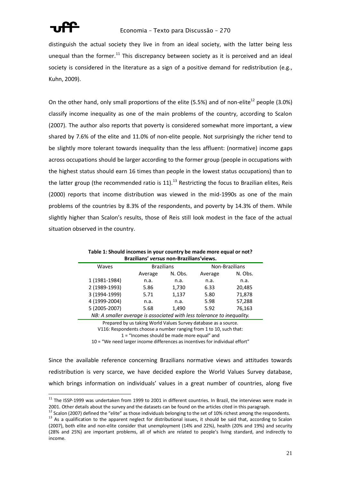

distinguish the actual society they live in from an ideal society, with the latter being less unequal than the former.<sup>11</sup> This discrepancy between society as it is perceived and an ideal society is considered in the literature as a sign of a positive demand for redistribution (e.g., Kuhn, 2009).

On the other hand, only small proportions of the elite (5.5%) and of non-elite<sup>12</sup> people (3.0%) classify income inequality as one of the main problems of the country, according to Scalon (2007). The author also reports that poverty is considered somewhat more important, a view shared by 7.6% of the elite and 11.0% of non-elite people. Not surprisingly the richer tend to be slightly more tolerant towards inequality than the less affluent: (normative) income gaps across occupations should be larger according to the former group (people in occupations with the highest status should earn 16 times than people in the lowest status occupations) than to the latter group (the recommended ratio is  $11$ ).<sup>13</sup> Restricting the focus to Brazilian elites, Reis (2000) reports that income distribution was viewed in the mid-1990s as one of the main problems of the countries by 8.3% of the respondents, and poverty by 14.3% of them. While slightly higher than Scalon's results, those of Reis still look modest in the face of the actual situation observed in the country.

<span id="page-20-0"></span>

| Brazilians' <i>versus</i> non-Brazilians'views.                        |                   |         |                |         |
|------------------------------------------------------------------------|-------------------|---------|----------------|---------|
| Waves                                                                  | <b>Brazilians</b> |         | Non-Brazilians |         |
|                                                                        | Average           | N. Obs. | Average        | N. Obs. |
| 1 (1981-1984)                                                          | n.a.              | n.a.    | n.a.           | n.a.    |
| 2 (1989-1993)                                                          | 5.86              | 1,730   | 6.33           | 20,485  |
| 3 (1994-1999)                                                          | 5.71              | 1,137   | 5.80           | 71,878  |
| 4 (1999-2004)                                                          | n.a.              | n.a.    | 5.98           | 57,288  |
| 5 (2005-2007)                                                          | 5.68              | 1,490   | 5.92           | 76,163  |
| NB: A smaller average is associated with less tolerance to inequality. |                   |         |                |         |

| Table 1: Should incomes in your country be made more equal or not? |
|--------------------------------------------------------------------|
| Brazilians' versus non-Brazilians'views.                           |

Prepared by us taking World Values Survey database as a source.

V116: Respondents choose a number ranging from 1 to 10, such that:

1 = "Incomes should be made more equal" and

10 = "We need larger income differences as incentives for individual effort"

Since the available reference concerning Brazilians normative views and attitudes towards redistribution is very scarce, we have decided explore the World Values Survey database, which brings information on individuals' values in a great number of countries, along five

 $11$  The ISSP-1999 was undertaken from 1999 to 2001 in different countries. In Brazil, the interviews were made in 2001. Other details about the survey and the datasets can be found on the articles cited in this paragraph.

 $12$  Scalon (2007) defined the "elite" as those individuals belonging to the set of 10% richest among the respondents.

<sup>&</sup>lt;sup>13</sup> As a qualification to the apparent neglect for distributional issues, it should be said that, according to Scalon (2007), both elite and non-elite consider that unemployment (14% and 22%), health (20% and 19%) and security (28% and 25%) are important problems, all of which are related to people's living standard, and indirectly to income.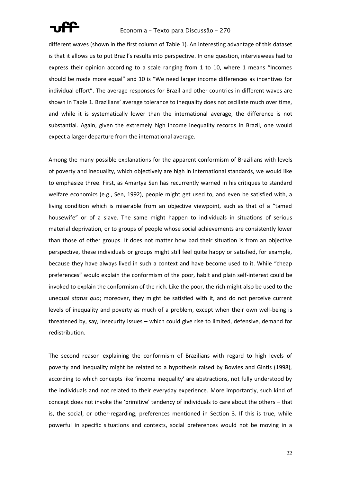

different waves (shown in the first column of [Table 1\)](#page-20-0). An interesting advantage of this dataset is that it allows us to put Brazil's results into perspective. In one question, interviewees had to express their opinion according to a scale ranging from 1 to 10, where 1 means "Incomes should be made more equal" and 10 is "We need larger income differences as incentives for individual effort". The average responses for Brazil and other countries in different waves are shown in [Table 1](#page-20-0). Brazilians' average tolerance to inequality does not oscillate much over time, and while it is systematically lower than the international average, the difference is not substantial. Again, given the extremely high income inequality records in Brazil, one would expect a larger departure from the international average.

Among the many possible explanations for the apparent conformism of Brazilians with levels of poverty and inequality, which objectively are high in international standards, we would like to emphasize three. First, as Amartya Sen has recurrently warned in his critiques to standard welfare economics (e.g., Sen, 1992), people might get used to, and even be satisfied with, a living condition which is miserable from an objective viewpoint, such as that of a "tamed housewife" or of a slave. The same might happen to individuals in situations of serious material deprivation, or to groups of people whose social achievements are consistently lower than those of other groups. It does not matter how bad their situation is from an objective perspective, these individuals or groups might still feel quite happy or satisfied, for example, because they have always lived in such a context and have become used to it. While "cheap preferences" would explain the conformism of the poor, habit and plain self-interest could be invoked to explain the conformism of the rich. Like the poor, the rich might also be used to the unequal *status quo*; moreover, they might be satisfied with it, and do not perceive current levels of inequality and poverty as much of a problem, except when their own well-being is threatened by, say, insecurity issues – which could give rise to limited, defensive, demand for redistribution.

The second reason explaining the conformism of Brazilians with regard to high levels of poverty and inequality might be related to a hypothesis raised by Bowles and Gintis (1998), according to which concepts like 'income inequality' are abstractions, not fully understood by the individuals and not related to their everyday experience. More importantly, such kind of concept does not invoke the 'primitive' tendency of individuals to care about the others – that is, the social, or other-regarding, preferences mentioned in Section 3. If this is true, while powerful in specific situations and contexts, social preferences would not be moving in a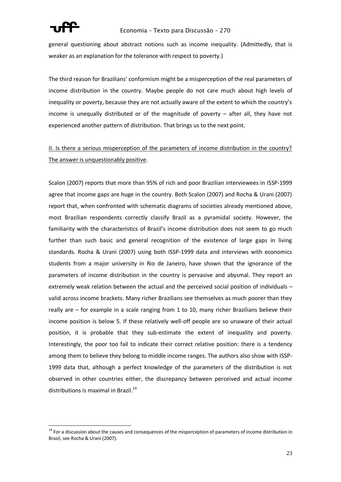

### Economia – Texto para Discussão – 270

general questioning about abstract notions such as income inequality. (Admittedly, that is weaker as an explanation for the tolerance with respect to poverty.)

The third reason for Brazilians' conformism might be a misperception of the real parameters of income distribution in the country. Maybe people do not care much about high levels of inequality or poverty, because they are not actually aware of the extent to which the country's income is unequally distributed or of the magnitude of poverty – after all, they have not experienced another pattern of distribution. That brings us to the next point.

# II. Is there a serious misperception of the parameters of income distribution in the country? The answer is unquestionably positive.

Scalon (2007) reports that more than 95% of rich and poor Brazilian interviewees in ISSP-1999 agree that income gaps are huge in the country. Both Scalon (2007) and Rocha & Urani (2007) report that, when confronted with schematic diagrams of societies already mentioned above, most Brazilian respondents correctly classify Brazil as a pyramidal society. However, the familiarity with the characteristics of Brazil's income distribution does not seem to go much further than such basic and general recognition of the existence of large gaps in living standards. Rocha & Urani (2007) using both ISSP-1999 data and interviews with economics students from a major university in Rio de Janeiro, have shown that the ignorance of the parameters of income distribution in the country is pervasive and abysmal. They report an extremely weak relation between the actual and the perceived social position of individuals – valid across income brackets. Many richer Brazilians see themselves as much poorer than they really are – for example in a scale ranging from 1 to 10, many richer Brazilians believe their income position is below 5. If these relatively well-off people are so unaware of their actual position, it is probable that they sub-estimate the extent of inequality and poverty. Interestingly, the poor too fail to indicate their correct relative position: there is a tendency among them to believe they belong to middle income ranges. The authors also show with ISSP-1999 data that, although a perfect knowledge of the parameters of the distribution is not observed in other countries either, the discrepancy between perceived and actual income distributions is maximal in Brazil.<sup>14</sup>

<sup>&</sup>lt;sup>14</sup> For a discussion about the causes and consequences of the misperception of parameters of income distribution in Brazil, see Rocha & Urani (2007).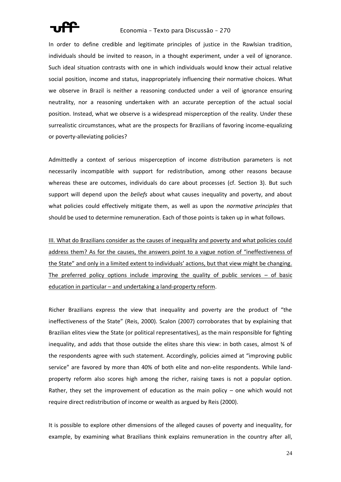

In order to define credible and legitimate principles of justice in the Rawlsian tradition, individuals should be invited to reason, in a thought experiment, under a veil of ignorance. Such ideal situation contrasts with one in which individuals would know their actual relative social position, income and status, inappropriately influencing their normative choices. What we observe in Brazil is neither a reasoning conducted under a veil of ignorance ensuring neutrality, nor a reasoning undertaken with an accurate perception of the actual social position. Instead, what we observe is a widespread misperception of the reality. Under these surrealistic circumstances, what are the prospects for Brazilians of favoring income-equalizing or poverty-alleviating policies?

Admittedly a context of serious misperception of income distribution parameters is not necessarily incompatible with support for redistribution, among other reasons because whereas these are outcomes, individuals do care about processes (cf. Section 3). But such support will depend upon the *beliefs* about what causes inequality and poverty, and about what policies could effectively mitigate them, as well as upon the *normative principles* that should be used to determine remuneration. Each of those points is taken up in what follows.

III. What do Brazilians consider as the causes of inequality and poverty and what policies could address them? As for the causes, the answers point to a vague notion of "ineffectiveness of the State" and only in a limited extent to individuals' actions, but that view might be changing. The preferred policy options include improving the quality of public services  $-$  of basic education in particular – and undertaking a land-property reform.

Richer Brazilians express the view that inequality and poverty are the product of "the ineffectiveness of the State" (Reis, 2000). Scalon (2007) corroborates that by explaining that Brazilian elites view the State (or political representatives), as the main responsible for fighting inequality, and adds that those outside the elites share this view: in both cases, almost % of the respondents agree with such statement. Accordingly, policies aimed at "improving public service" are favored by more than 40% of both elite and non-elite respondents. While landproperty reform also scores high among the richer, raising taxes is not a popular option. Rather, they set the improvement of education as the main policy – one which would not require direct redistribution of income or wealth as argued by Reis (2000).

It is possible to explore other dimensions of the alleged causes of poverty and inequality, for example, by examining what Brazilians think explains remuneration in the country after all,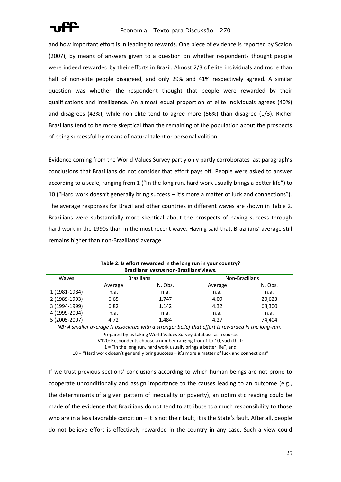

and how important effort is in leading to rewards. One piece of evidence is reported by Scalon (2007), by means of answers given to a question on whether respondents thought people were indeed rewarded by their efforts in Brazil. Almost 2/3 of elite individuals and more than half of non-elite people disagreed, and only 29% and 41% respectively agreed. A similar question was whether the respondent thought that people were rewarded by their qualifications and intelligence. An almost equal proportion of elite individuals agrees (40%) and disagrees (42%), while non-elite tend to agree more (56%) than disagree (1/3). Richer Brazilians tend to be more skeptical than the remaining of the population about the prospects of being successful by means of natural talent or personal volition.

Evidence coming from the World Values Survey partly only partly corroborates last paragraph's conclusions that Brazilians do not consider that effort pays off. People were asked to answer according to a scale, ranging from 1 ("In the long run, hard work usually brings a better life") to 10 ("Hard work doesn't generally bring success – it's more a matter of luck and connections"). The average responses for Brazil and other countries in different waves are shown in [Table 2.](#page-24-0) Brazilians were substantially more skeptical about the prospects of having success through hard work in the 1990s than in the most recent wave. Having said that, Brazilians' average still remains higher than non-Brazilians' average.

<span id="page-24-0"></span>

| Brazilians <i>versus</i> non-Brazilians views.                                                      |                   |         |                |         |
|-----------------------------------------------------------------------------------------------------|-------------------|---------|----------------|---------|
| Waves                                                                                               | <b>Brazilians</b> |         | Non-Brazilians |         |
|                                                                                                     | Average           | N. Obs. | Average        | N. Obs. |
| 1 (1981-1984)                                                                                       | n.a.              | n.a.    | n.a.           | n.a.    |
| 2 (1989-1993)                                                                                       | 6.65              | 1,747   | 4.09           | 20,623  |
| 3 (1994-1999)                                                                                       | 6.82              | 1,142   | 4.32           | 68,300  |
| 4 (1999-2004)                                                                                       | n.a.              | n.a.    | n.a.           | n.a.    |
| 5 (2005-2007)                                                                                       | 4.72              | 1,484   | 4.27           | 74.404  |
| NB: A smaller average is associated with a stronger belief that effort is rewarded in the long-run. |                   |         |                |         |

**Table 2: Is effort rewarded in the long run in your country? Brazilians'** *versus* **non-Brazilians'views.**

Prepared by us taking World Values Survey database as a source.

V120: Respondents choose a number ranging from 1 to 10, such that:

 $1 =$  "In the long run, hard work usually brings a better life", and

10 = "Hard work doesn't generally bring success – it's more a matter of luck and connections"

If we trust previous sections' conclusions according to which human beings are not prone to cooperate unconditionally and assign importance to the causes leading to an outcome (e.g., the determinants of a given pattern of inequality or poverty), an optimistic reading could be made of the evidence that Brazilians do not tend to attribute too much responsibility to those who are in a less favorable condition – it is not their fault, it is the State's fault. After all, people do not believe effort is effectively rewarded in the country in any case. Such a view could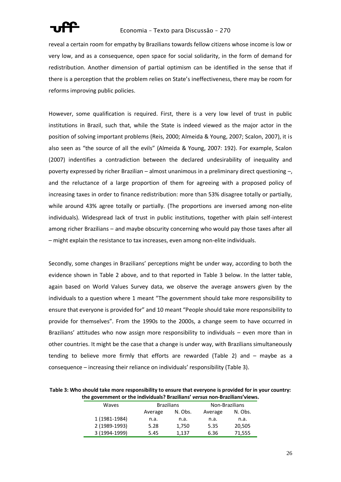

reveal a certain room for empathy by Brazilians towards fellow citizens whose income is low or very low, and as a consequence, open space for social solidarity, in the form of demand for redistribution. Another dimension of partial optimism can be identified in the sense that if there is a perception that the problem relies on State's ineffectiveness, there may be room for reforms improving public policies.

However, some qualification is required. First, there is a very low level of trust in public institutions in Brazil, such that, while the State is indeed viewed as the major actor in the position of solving important problems (Reis, 2000; Almeida & Young, 2007; Scalon, 2007), it is also seen as "the source of all the evils" (Almeida & Young, 2007: 192). For example, Scalon (2007) indentifies a contradiction between the declared undesirability of inequality and poverty expressed by richer Brazilian – almost unanimous in a preliminary direct questioning –, and the reluctance of a large proportion of them for agreeing with a proposed policy of increasing taxes in order to finance redistribution: more than 53% disagree totally or partially, while around 43% agree totally or partially. (The proportions are inversed among non-elite individuals). Widespread lack of trust in public institutions, together with plain self-interest among richer Brazilians – and maybe obscurity concerning who would pay those taxes after all – might explain the resistance to tax increases, even among non-elite individuals.

Secondly, some changes in Brazilians' perceptions might be under way, according to both the evidence shown in [Table 2](#page-24-0) above, and to that reported in [Table 3](#page-25-0) below. In the latter table, again based on World Values Survey data, we observe the average answers given by the individuals to a question where 1 meant "The government should take more responsibility to ensure that everyone is provided for" and 10 meant "People should take more responsibility to provide for themselves". From the 1990s to the 2000s, a change seem to have occurred in Brazilians' attitudes who now assign more responsibility to individuals – even more than in other countries. It might be the case that a change is under way, with Brazilians simultaneously tending to believe more firmly that efforts are rewarded [\(Table 2\)](#page-24-0) and – maybe as a consequence – increasing their reliance on individuals' responsibility ([Table 3\)](#page-25-0).

<span id="page-25-0"></span>**Table 3: Who should take more responsibility to ensure that everyone is provided for in your country: the government or the individuals? Brazilians'** *versus* **non-Brazilians'views.**

| . <b>. .</b>  |                   |         |                |         |
|---------------|-------------------|---------|----------------|---------|
| Waves         | <b>Brazilians</b> |         | Non-Brazilians |         |
|               | Average           | N. Obs. | Average        | N. Obs. |
| 1 (1981-1984) | n.a.              | n.a.    | n.a.           | n.a.    |
| 2 (1989-1993) | 5.28              | 1,750   | 5.35           | 20,505  |
| 3 (1994-1999) | 5.45              | 1,137   | 6.36           | 71,555  |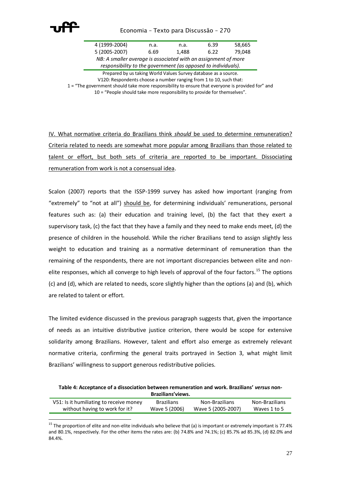

| 4 (1999-2004)                                                  | n.a. | n.a.  | 6.39 | 58,665 |  |
|----------------------------------------------------------------|------|-------|------|--------|--|
| 5 (2005-2007)                                                  | 6.69 | 1.488 | 6.22 | 79.048 |  |
| NB: A smaller average is associated with an assignment of more |      |       |      |        |  |
|                                                                |      |       |      |        |  |

*responsibility to the government (as opposed to individuals).*

Prepared by us taking World Values Survey database as a source. V120: Respondents choose a number ranging from 1 to 10, such that:

1 = "The government should take more responsibility to ensure that everyone is provided for" and

10 = "People should take more responsibility to provide for themselves".

IV. What normative criteria do Brazilians think *should* be used to determine remuneration? Criteria related to needs are somewhat more popular among Brazilians than those related to talent or effort, but both sets of criteria are reported to be important. Dissociating remuneration from work is not a consensual idea.

Scalon (2007) reports that the ISSP-1999 survey has asked how important (ranging from "extremely" to "not at all") should be, for determining individuals' remunerations, personal features such as: (a) their education and training level, (b) the fact that they exert a supervisory task, (c) the fact that they have a family and they need to make ends meet, (d) the presence of children in the household. While the richer Brazilians tend to assign slightly less weight to education and training as a normative determinant of remuneration than the remaining of the respondents, there are not important discrepancies between elite and nonelite responses, which all converge to high levels of approval of the four factors.<sup>15</sup> The options (c) and (d), which are related to needs, score slightly higher than the options (a) and (b), which are related to talent or effort.

The limited evidence discussed in the previous paragraph suggests that, given the importance of needs as an intuitive distributive justice criterion, there would be scope for extensive solidarity among Brazilians. However, talent and effort also emerge as extremely relevant normative criteria, confirming the general traits portrayed in Section 3, what might limit Brazilians' willingness to support generous redistributive policies.

<span id="page-26-0"></span>**Table 4: Acceptance of a dissociation between remuneration and work. Brazilians'** *versus* **non-Brazilians'views.**

| V51: Is it humiliating to receive money | <b>Brazilians</b> | Non-Brazilians     | Non-Brazilians |
|-----------------------------------------|-------------------|--------------------|----------------|
| without having to work for it?          | Wave 5 (2006)     | Wave 5 (2005-2007) | Waves 1 to 5   |

<sup>&</sup>lt;sup>15</sup> The proportion of elite and non-elite individuals who believe that (a) is important or extremely important is 77.4% and 80.1%, respectively. For the other items the rates are: (b) 74.8% and 74.1%; (c) 85.7% ad 85.3%, (d) 82.0% and 84.4%.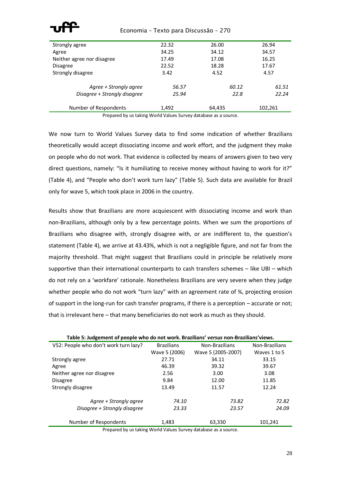| Strongly agree               | 22.32 | 26.00  | 26.94   |
|------------------------------|-------|--------|---------|
| Agree                        | 34.25 | 34.12  | 34.57   |
| Neither agree nor disagree   | 17.49 | 17.08  | 16.25   |
| <b>Disagree</b>              | 22.52 | 18.28  | 17.67   |
| Strongly disagree            | 3.42  | 4.52   | 4.57    |
| Agree + Strongly agree       | 56.57 | 60.12  | 61.51   |
| Disagree + Strongly disagree | 25.94 | 22.8   | 22.24   |
| Number of Respondents        | 1,492 | 64,435 | 102,261 |

Prepared by us taking World Values Survey database as a source.

We now turn to World Values Survey data to find some indication of whether Brazilians theoretically would accept dissociating income and work effort, and the judgment they make on people who do not work. That evidence is collected by means of answers given to two very direct questions, namely: "Is it humiliating to receive money without having to work for it?" [\(Table 4](#page-26-0)), and "People who don't work turn lazy" ([Table 5\)](#page-27-0). Such data are available for Brazil only for wave 5, which took place in 2006 in the country.

Results show that Brazilians are more acquiescent with dissociating income and work than non-Brazilians, although only by a few percentage points. When we sum the proportions of Brazilians who disagree with, strongly disagree with, or are indifferent to, the question's statement [\(Table 4\)](#page-26-0), we arrive at 43.43%, which is not a negligible figure, and not far from the majority threshold. That might suggest that Brazilians could in principle be relatively more supportive than their international counterparts to cash transfers schemes – like UBI – which do not rely on a 'workfare' rationale. Nonetheless Brazilians are very severe when they judge whether people who do not work "turn lazy" with an agreement rate of  $\frac{3}{4}$ , projecting erosion of support in the long-run for cash transfer programs, if there is a perception – accurate or not; that is irrelevant here – that many beneficiaries do not work as much as they should.

<span id="page-27-0"></span>

| Table 5: Judgement of people who do not work. Brazilians' versus non-Brazilians'views. |                   |                    |                |  |
|----------------------------------------------------------------------------------------|-------------------|--------------------|----------------|--|
| V52: People who don't work turn lazy?                                                  | <b>Brazilians</b> | Non-Brazilians     | Non-Brazilians |  |
|                                                                                        | Wave 5 (2006)     | Wave 5 (2005-2007) | Waves 1 to 5   |  |
| Strongly agree                                                                         | 27.71             | 34.11              | 33.15          |  |
| Agree                                                                                  | 46.39             | 39.32              | 39.67          |  |
| Neither agree nor disagree                                                             | 2.56              | 3.00               | 3.08           |  |
| <b>Disagree</b>                                                                        | 9.84              | 12.00              | 11.85          |  |
| Strongly disagree                                                                      | 13.49             | 11.57              | 12.24          |  |
| Agree + Strongly agree                                                                 | 74.10             | 73.82              | 72.82          |  |
| Disagree + Strongly disagree                                                           | 23.33             | 23.57              | 24.09          |  |
| Number of Respondents                                                                  | 1,483             | 63,330             | 101,241        |  |

Prepared by us taking World Values Survey database as a source.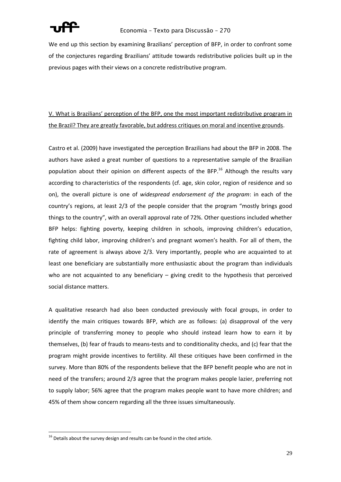

We end up this section by examining Brazilians' perception of BFP, in order to confront some of the conjectures regarding Brazilians' attitude towards redistributive policies built up in the previous pages with their views on a concrete redistributive program.

# V. What is Brazilians' perception of the BFP, one the most important redistributive program in the Brazil? They are greatly favorable, but address critiques on moral and incentive grounds.

Castro et al. (2009) have investigated the perception Brazilians had about the BFP in 2008. The authors have asked a great number of questions to a representative sample of the Brazilian population about their opinion on different aspects of the BFP.<sup>16</sup> Although the results vary according to characteristics of the respondents (cf. age, skin color, region of residence and so on), the overall picture is one of *widespread endorsement of the program*: in each of the country's regions, at least 2/3 of the people consider that the program "mostly brings good things to the country", with an overall approval rate of 72%. Other questions included whether BFP helps: fighting poverty, keeping children in schools, improving children's education, fighting child labor, improving children's and pregnant women's health. For all of them, the rate of agreement is always above 2/3. Very importantly, people who are acquainted to at least one beneficiary are substantially more enthusiastic about the program than individuals who are not acquainted to any beneficiary  $-$  giving credit to the hypothesis that perceived social distance matters.

A qualitative research had also been conducted previously with focal groups, in order to identify the main critiques towards BFP, which are as follows: (a) disapproval of the very principle of transferring money to people who should instead learn how to earn it by themselves, (b) fear of frauds to means-tests and to conditionality checks, and (c) fear that the program might provide incentives to fertility. All these critiques have been confirmed in the survey. More than 80% of the respondents believe that the BFP benefit people who are not in need of the transfers; around 2/3 agree that the program makes people lazier, preferring not to supply labor; 56% agree that the program makes people want to have more children; and 45% of them show concern regarding all the three issues simultaneously.

 $\overline{a}$ 

 $16$  Details about the survey design and results can be found in the cited article.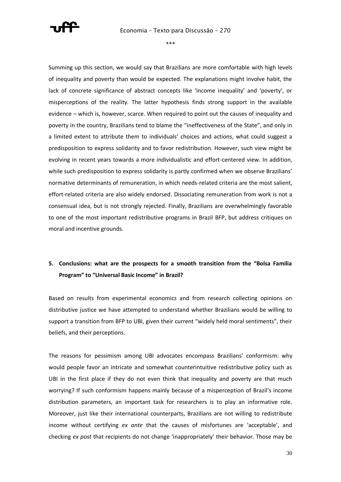

\*\*\*

Summing up this section, we would say that Brazilians are more comfortable with high levels of inequality and poverty than would be expected. The explanations might involve habit, the lack of concrete significance of abstract concepts like 'income inequality' and 'poverty', or misperceptions of the reality. The latter hypothesis finds strong support in the available evidence – which is, however, scarce. When required to point out the causes of inequality and poverty in the country, Brazilians tend to blame the "ineffectiveness of the State", and only in a limited extent to attribute them to individuals' choices and actions, what could suggest a predisposition to express solidarity and to favor redistribution. However, such view might be evolving in recent years towards a more individualistic and effort-centered view. In addition, while such predisposition to express solidarity is partly confirmed when we observe Brazilians' normative determinants of remuneration, in which needs-related criteria are the most salient, effort-related criteria are also widely endorsed. Dissociating remuneration from work is not a consensual idea, but is not strongly rejected. Finally, Brazilians are overwhelmingly favorable to one of the most important redistributive programs in Brazil BFP, but address critiques on moral and incentive grounds.

# **5. Conclusions: what are the prospects for a smooth transition from the "Bolsa Familia Program" to "Universal Basic Income" in Brazil?**

Based on results from experimental economics and from research collecting opinions on distributive justice we have attempted to understand whether Brazilians would be willing to support a transition from BFP to UBI, given their current "widely held moral sentiments", their beliefs, and their perceptions.

The reasons for pessimism among UBI advocates encompass Brazilians' conformism: why would people favor an intricate and somewhat counterintuitive redistributive policy such as UBI in the first place if they do not even think that inequality and poverty are that much worrying? If such conformism happens mainly because of a misperception of Brazil's income distribution parameters, an important task for researchers is to play an informative role. Moreover, just like their international counterparts, Brazilians are not willing to redistribute income without certifying *ex ante* that the causes of misfortunes are 'acceptable', and checking *ex post* that recipients do not change 'inappropriately' their behavior. Those may be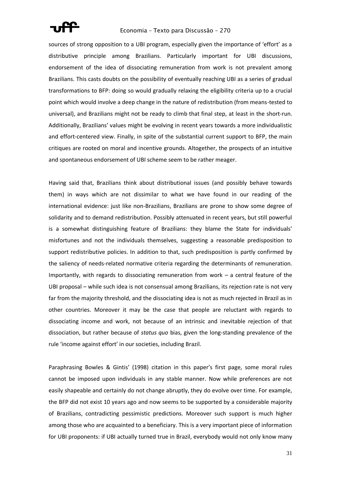

sources of strong opposition to a UBI program, especially given the importance of 'effort' as a distributive principle among Brazilians. Particularly important for UBI discussions, endorsement of the idea of dissociating remuneration from work is not prevalent among Brazilians. This casts doubts on the possibility of eventually reaching UBI as a series of gradual transformations to BFP: doing so would gradually relaxing the eligibility criteria up to a crucial point which would involve a deep change in the nature of redistribution (from means-tested to universal), and Brazilians might not be ready to climb that final step, at least in the short-run. Additionally, Brazilians' values might be evolving in recent years towards a more individualistic and effort-centered view. Finally, in spite of the substantial current support to BFP, the main critiques are rooted on moral and incentive grounds. Altogether, the prospects of an intuitive and spontaneous endorsement of UBI scheme seem to be rather meager.

Having said that, Brazilians think about distributional issues (and possibly behave towards them) in ways which are not dissimilar to what we have found in our reading of the international evidence: just like non-Brazilians, Brazilians are prone to show some degree of solidarity and to demand redistribution. Possibly attenuated in recent years, but still powerful is a somewhat distinguishing feature of Brazilians: they blame the State for individuals' misfortunes and not the individuals themselves, suggesting a reasonable predisposition to support redistributive policies. In addition to that, such predisposition is partly confirmed by the saliency of needs-related normative criteria regarding the determinants of remuneration. Importantly, with regards to dissociating remuneration from work – a central feature of the UBI proposal – while such idea is not consensual among Brazilians, its rejection rate is not very far from the majority threshold, and the dissociating idea is not as much rejected in Brazil as in other countries. Moreover it may be the case that people are reluctant with regards to dissociating income and work, not because of an intrinsic and inevitable rejection of that dissociation, but rather because of *status quo* bias, given the long-standing prevalence of the rule 'income against effort' in our societies, including Brazil.

Paraphrasing Bowles & Gintis' (1998) citation in this paper's first page, some moral rules cannot be imposed upon individuals in any stable manner. Now while preferences are not easily shapeable and certainly do not change abruptly, they do evolve over time. For example, the BFP did not exist 10 years ago and now seems to be supported by a considerable majority of Brazilians, contradicting pessimistic predictions. Moreover such support is much higher among those who are acquainted to a beneficiary. This is a very important piece of information for UBI proponents: if UBI actually turned true in Brazil, everybody would not only know many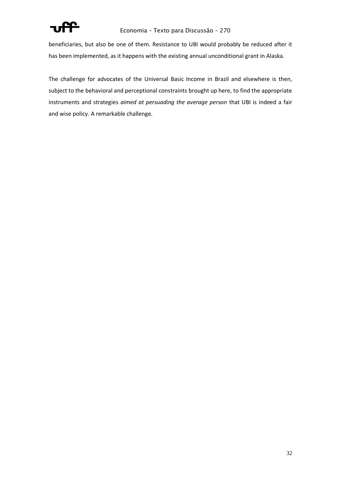

beneficiaries, but also be one of them. Resistance to UBI would probably be reduced after it has been implemented, as it happens with the existing annual unconditional grant in Alaska.

The challenge for advocates of the Universal Basic Income in Brazil and elsewhere is then, subject to the behavioral and perceptional constraints brought up here, to find the appropriate instruments and strategies *aimed at persuading the average person* that UBI is indeed a fair and wise policy. A remarkable challenge.